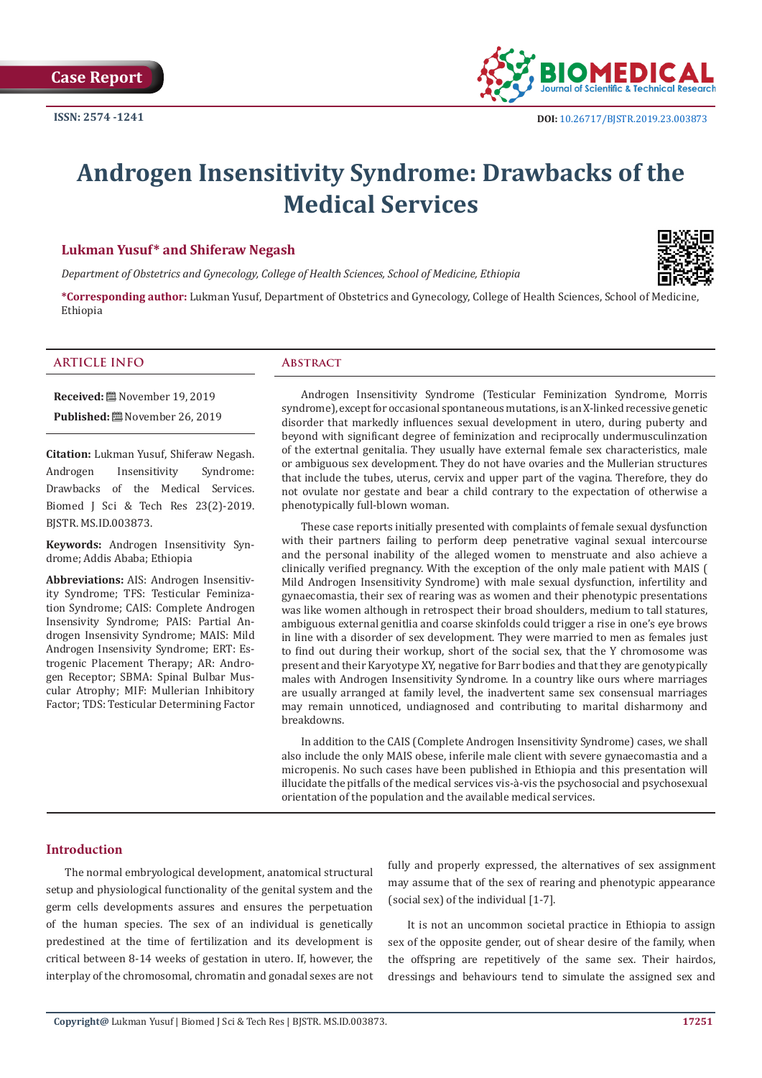

# **Androgen Insensitivity Syndrome: Drawbacks of the Medical Services**

## **Lukman Yusuf\* and Shiferaw Negash**

*Department of Obstetrics and Gynecology, College of Health Sciences, School of Medicine, Ethiopia*



**\*Corresponding author:** Lukman Yusuf, Department of Obstetrics and Gynecology, College of Health Sciences, School of Medicine, Ethiopia

#### **ARTICLE INFO Abstract**

**Received:** November 19, 2019 **Published:** November 26, 2019

**Citation:** Lukman Yusuf, Shiferaw Negash. Androgen Insensitivity Syndrome: Drawbacks of the Medical Services. Biomed J Sci & Tech Res 23(2)-2019. BJSTR. MS.ID.003873.

**Keywords:** Androgen Insensitivity Syndrome; Addis Ababa; Ethiopia

**Abbreviations:** AIS: Androgen Insensitivity Syndrome; TFS: Testicular Feminization Syndrome; CAIS: Complete Androgen Insensivity Syndrome; PAIS: Partial Androgen Insensivity Syndrome; MAIS: Mild Androgen Insensivity Syndrome; ERT: Estrogenic Placement Therapy; AR: Androgen Receptor; SBMA: Spinal Bulbar Muscular Atrophy; MIF: Mullerian Inhibitory Factor; TDS: Testicular Determining Factor

Androgen Insensitivity Syndrome (Testicular Feminization Syndrome, Morris syndrome), except for occasional spontaneous mutations, is an X-linked recessive genetic disorder that markedly influences sexual development in utero, during puberty and beyond with significant degree of feminization and reciprocally undermusculinzation of the extertnal genitalia. They usually have external female sex characteristics, male or ambiguous sex development. They do not have ovaries and the Mullerian structures that include the tubes, uterus, cervix and upper part of the vagina. Therefore, they do not ovulate nor gestate and bear a child contrary to the expectation of otherwise a phenotypically full-blown woman.

These case reports initially presented with complaints of female sexual dysfunction with their partners failing to perform deep penetrative vaginal sexual intercourse and the personal inability of the alleged women to menstruate and also achieve a clinically verified pregnancy. With the exception of the only male patient with MAIS ( Mild Androgen Insensitivity Syndrome) with male sexual dysfunction, infertility and gynaecomastia, their sex of rearing was as women and their phenotypic presentations was like women although in retrospect their broad shoulders, medium to tall statures, ambiguous external genitlia and coarse skinfolds could trigger a rise in one's eye brows in line with a disorder of sex development. They were married to men as females just to find out during their workup, short of the social sex, that the Y chromosome was present and their Karyotype XY, negative for Barr bodies and that they are genotypically males with Androgen Insensitivity Syndrome. In a country like ours where marriages are usually arranged at family level, the inadvertent same sex consensual marriages may remain unnoticed, undiagnosed and contributing to marital disharmony and breakdowns.

In addition to the CAIS (Complete Androgen Insensitivity Syndrome) cases, we shall also include the only MAIS obese, inferile male client with severe gynaecomastia and a micropenis. No such cases have been published in Ethiopia and this presentation will illucidate the pitfalls of the medical services vis-à-vis the psychosocial and psychosexual orientation of the population and the available medical services.

#### **Introduction**

The normal embryological development, anatomical structural setup and physiological functionality of the genital system and the germ cells developments assures and ensures the perpetuation of the human species. The sex of an individual is genetically predestined at the time of fertilization and its development is critical between 8-14 weeks of gestation in utero. If, however, the interplay of the chromosomal, chromatin and gonadal sexes are not fully and properly expressed, the alternatives of sex assignment may assume that of the sex of rearing and phenotypic appearance (social sex) of the individual [1-7].

It is not an uncommon societal practice in Ethiopia to assign sex of the opposite gender, out of shear desire of the family, when the offspring are repetitively of the same sex. Their hairdos, dressings and behaviours tend to simulate the assigned sex and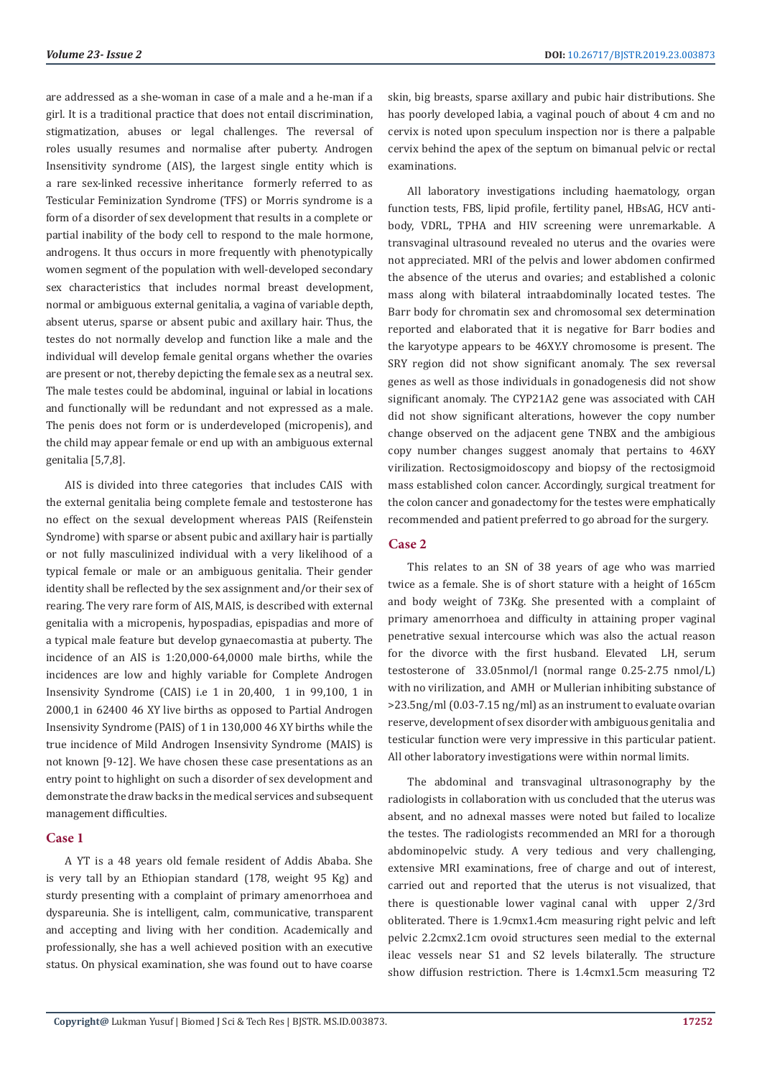are addressed as a she-woman in case of a male and a he-man if a girl. It is a traditional practice that does not entail discrimination, stigmatization, abuses or legal challenges. The reversal of roles usually resumes and normalise after puberty. Androgen Insensitivity syndrome (AIS), the largest single entity which is a rare sex-linked recessive inheritance formerly referred to as Testicular Feminization Syndrome (TFS) or Morris syndrome is a form of a disorder of sex development that results in a complete or partial inability of the body cell to respond to the male hormone, androgens. It thus occurs in more frequently with phenotypically women segment of the population with well-developed secondary sex characteristics that includes normal breast development, normal or ambiguous external genitalia, a vagina of variable depth, absent uterus, sparse or absent pubic and axillary hair. Thus, the testes do not normally develop and function like a male and the individual will develop female genital organs whether the ovaries are present or not, thereby depicting the female sex as a neutral sex. The male testes could be abdominal, inguinal or labial in locations and functionally will be redundant and not expressed as a male. The penis does not form or is underdeveloped (micropenis), and the child may appear female or end up with an ambiguous external genitalia [5,7,8].

AIS is divided into three categories that includes CAIS with the external genitalia being complete female and testosterone has no effect on the sexual development whereas PAIS (Reifenstein Syndrome) with sparse or absent pubic and axillary hair is partially or not fully masculinized individual with a very likelihood of a typical female or male or an ambiguous genitalia. Their gender identity shall be reflected by the sex assignment and/or their sex of rearing. The very rare form of AIS, MAIS, is described with external genitalia with a micropenis, hypospadias, epispadias and more of a typical male feature but develop gynaecomastia at puberty. The incidence of an AIS is 1:20,000-64,0000 male births, while the incidences are low and highly variable for Complete Androgen Insensivity Syndrome (CAIS) i.e 1 in 20,400, 1 in 99,100, 1 in 2000,1 in 62400 46 XY live births as opposed to Partial Androgen Insensivity Syndrome (PAIS) of 1 in 130,000 46 XY births while the true incidence of Mild Androgen Insensivity Syndrome (MAIS) is not known [9-12]. We have chosen these case presentations as an entry point to highlight on such a disorder of sex development and demonstrate the draw backs in the medical services and subsequent management difficulties.

#### **Case 1**

A YT is a 48 years old female resident of Addis Ababa. She is very tall by an Ethiopian standard (178, weight 95 Kg) and sturdy presenting with a complaint of primary amenorrhoea and dyspareunia. She is intelligent, calm, communicative, transparent and accepting and living with her condition. Academically and professionally, she has a well achieved position with an executive status. On physical examination, she was found out to have coarse

skin, big breasts, sparse axillary and pubic hair distributions. She has poorly developed labia, a vaginal pouch of about 4 cm and no cervix is noted upon speculum inspection nor is there a palpable cervix behind the apex of the septum on bimanual pelvic or rectal examinations.

All laboratory investigations including haematology, organ function tests, FBS, lipid profile, fertility panel, HBsAG, HCV antibody, VDRL, TPHA and HIV screening were unremarkable. A transvaginal ultrasound revealed no uterus and the ovaries were not appreciated. MRI of the pelvis and lower abdomen confirmed the absence of the uterus and ovaries; and established a colonic mass along with bilateral intraabdominally located testes. The Barr body for chromatin sex and chromosomal sex determination reported and elaborated that it is negative for Barr bodies and the karyotype appears to be 46XY.Y chromosome is present. The SRY region did not show significant anomaly. The sex reversal genes as well as those individuals in gonadogenesis did not show significant anomaly. The CYP21A2 gene was associated with CAH did not show significant alterations, however the copy number change observed on the adjacent gene TNBX and the ambigious copy number changes suggest anomaly that pertains to 46XY virilization. Rectosigmoidoscopy and biopsy of the rectosigmoid mass established colon cancer. Accordingly, surgical treatment for the colon cancer and gonadectomy for the testes were emphatically recommended and patient preferred to go abroad for the surgery.

# **Case 2**

This relates to an SN of 38 years of age who was married twice as a female. She is of short stature with a height of 165cm and body weight of 73Kg. She presented with a complaint of primary amenorrhoea and difficulty in attaining proper vaginal penetrative sexual intercourse which was also the actual reason for the divorce with the first husband. Elevated LH, serum testosterone of 33.05nmol/l (normal range 0.25-2.75 nmol/L) with no virilization, and AMH or Mullerian inhibiting substance of >23.5ng/ml (0.03-7.15 ng/ml) as an instrument to evaluate ovarian reserve, development of sex disorder with ambiguous genitalia and testicular function were very impressive in this particular patient. All other laboratory investigations were within normal limits.

The abdominal and transvaginal ultrasonography by the radiologists in collaboration with us concluded that the uterus was absent, and no adnexal masses were noted but failed to localize the testes. The radiologists recommended an MRI for a thorough abdominopelvic study. A very tedious and very challenging, extensive MRI examinations, free of charge and out of interest, carried out and reported that the uterus is not visualized, that there is questionable lower vaginal canal with upper 2/3rd obliterated. There is 1.9cmx1.4cm measuring right pelvic and left pelvic 2.2cmx2.1cm ovoid structures seen medial to the external ileac vessels near S1 and S2 levels bilaterally. The structure show diffusion restriction. There is 1.4cmx1.5cm measuring T2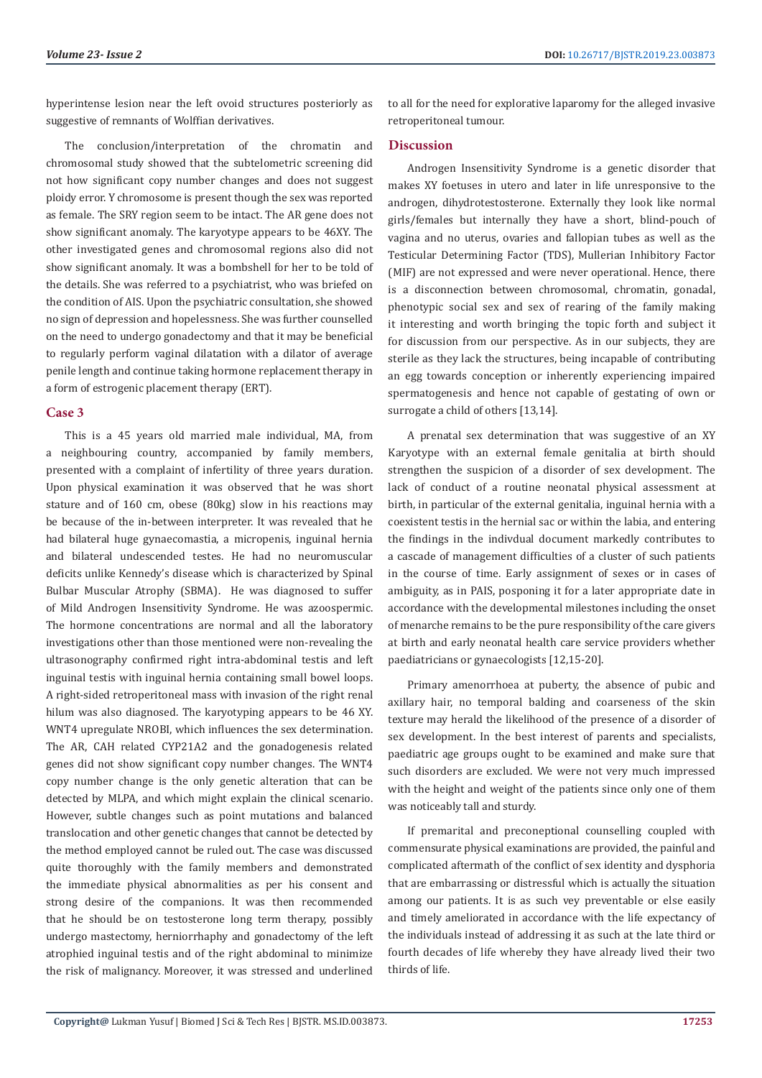hyperintense lesion near the left ovoid structures posteriorly as suggestive of remnants of Wolffian derivatives.

The conclusion/interpretation of the chromatin and chromosomal study showed that the subtelometric screening did not how significant copy number changes and does not suggest ploidy error. Y chromosome is present though the sex was reported as female. The SRY region seem to be intact. The AR gene does not show significant anomaly. The karyotype appears to be 46XY. The other investigated genes and chromosomal regions also did not show significant anomaly. It was a bombshell for her to be told of the details. She was referred to a psychiatrist, who was briefed on the condition of AIS. Upon the psychiatric consultation, she showed no sign of depression and hopelessness. She was further counselled on the need to undergo gonadectomy and that it may be beneficial to regularly perform vaginal dilatation with a dilator of average penile length and continue taking hormone replacement therapy in a form of estrogenic placement therapy (ERT).

### **Case 3**

This is a 45 years old married male individual, MA, from a neighbouring country, accompanied by family members, presented with a complaint of infertility of three years duration. Upon physical examination it was observed that he was short stature and of 160 cm, obese (80kg) slow in his reactions may be because of the in-between interpreter. It was revealed that he had bilateral huge gynaecomastia, a micropenis, inguinal hernia and bilateral undescended testes. He had no neuromuscular deficits unlike Kennedy's disease which is characterized by Spinal Bulbar Muscular Atrophy (SBMA). He was diagnosed to suffer of Mild Androgen Insensitivity Syndrome. He was azoospermic. The hormone concentrations are normal and all the laboratory investigations other than those mentioned were non-revealing the ultrasonography confirmed right intra-abdominal testis and left inguinal testis with inguinal hernia containing small bowel loops. A right-sided retroperitoneal mass with invasion of the right renal hilum was also diagnosed. The karyotyping appears to be 46 XY. WNT4 upregulate NROBI, which influences the sex determination. The AR, CAH related CYP21A2 and the gonadogenesis related genes did not show significant copy number changes. The WNT4 copy number change is the only genetic alteration that can be detected by MLPA, and which might explain the clinical scenario. However, subtle changes such as point mutations and balanced translocation and other genetic changes that cannot be detected by the method employed cannot be ruled out. The case was discussed quite thoroughly with the family members and demonstrated the immediate physical abnormalities as per his consent and strong desire of the companions. It was then recommended that he should be on testosterone long term therapy, possibly undergo mastectomy, herniorrhaphy and gonadectomy of the left atrophied inguinal testis and of the right abdominal to minimize the risk of malignancy. Moreover, it was stressed and underlined

to all for the need for explorative laparomy for the alleged invasive retroperitoneal tumour.

# **Discussion**

Androgen Insensitivity Syndrome is a genetic disorder that makes XY foetuses in utero and later in life unresponsive to the androgen, dihydrotestosterone. Externally they look like normal girls/females but internally they have a short, blind-pouch of vagina and no uterus, ovaries and fallopian tubes as well as the Testicular Determining Factor (TDS), Mullerian Inhibitory Factor (MIF) are not expressed and were never operational. Hence, there is a disconnection between chromosomal, chromatin, gonadal, phenotypic social sex and sex of rearing of the family making it interesting and worth bringing the topic forth and subject it for discussion from our perspective. As in our subjects, they are sterile as they lack the structures, being incapable of contributing an egg towards conception or inherently experiencing impaired spermatogenesis and hence not capable of gestating of own or surrogate a child of others [13,14].

A prenatal sex determination that was suggestive of an XY Karyotype with an external female genitalia at birth should strengthen the suspicion of a disorder of sex development. The lack of conduct of a routine neonatal physical assessment at birth, in particular of the external genitalia, inguinal hernia with a coexistent testis in the hernial sac or within the labia, and entering the findings in the indivdual document markedly contributes to a cascade of management difficulties of a cluster of such patients in the course of time. Early assignment of sexes or in cases of ambiguity, as in PAIS, posponing it for a later appropriate date in accordance with the developmental milestones including the onset of menarche remains to be the pure responsibility of the care givers at birth and early neonatal health care service providers whether paediatricians or gynaecologists [12,15-20].

Primary amenorrhoea at puberty, the absence of pubic and axillary hair, no temporal balding and coarseness of the skin texture may herald the likelihood of the presence of a disorder of sex development. In the best interest of parents and specialists, paediatric age groups ought to be examined and make sure that such disorders are excluded. We were not very much impressed with the height and weight of the patients since only one of them was noticeably tall and sturdy.

If premarital and preconeptional counselling coupled with commensurate physical examinations are provided, the painful and complicated aftermath of the conflict of sex identity and dysphoria that are embarrassing or distressful which is actually the situation among our patients. It is as such vey preventable or else easily and timely ameliorated in accordance with the life expectancy of the individuals instead of addressing it as such at the late third or fourth decades of life whereby they have already lived their two thirds of life.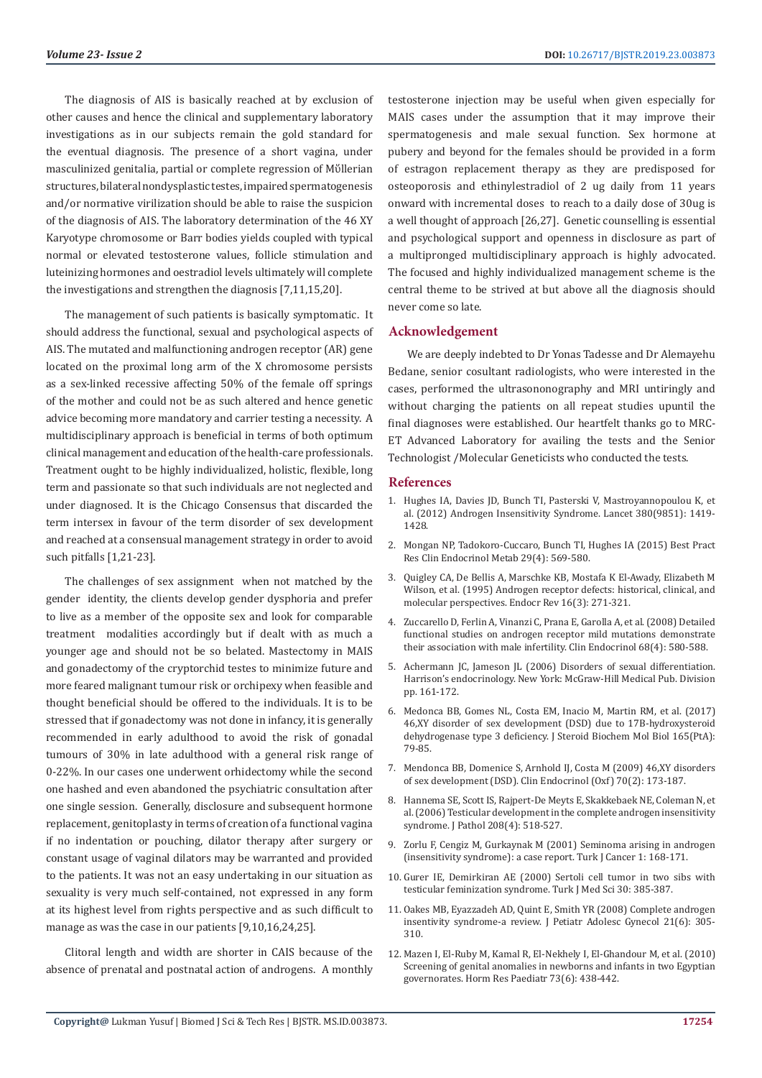The diagnosis of AIS is basically reached at by exclusion of other causes and hence the clinical and supplementary laboratory investigations as in our subjects remain the gold standard for the eventual diagnosis. The presence of a short vagina, under masculinized genitalia, partial or complete regression of Mὕllerian structures, bilateral nondysplastic testes, impaired spermatogenesis and/or normative virilization should be able to raise the suspicion of the diagnosis of AIS. The laboratory determination of the 46 XY Karyotype chromosome or Barr bodies yields coupled with typical normal or elevated testosterone values, follicle stimulation and luteinizing hormones and oestradiol levels ultimately will complete the investigations and strengthen the diagnosis [7,11,15,20].

The management of such patients is basically symptomatic. It should address the functional, sexual and psychological aspects of AIS. The mutated and malfunctioning androgen receptor (AR) gene located on the proximal long arm of the X chromosome persists as a sex-linked recessive affecting 50% of the female off springs of the mother and could not be as such altered and hence genetic advice becoming more mandatory and carrier testing a necessity. A multidisciplinary approach is beneficial in terms of both optimum clinical management and education of the health-care professionals. Treatment ought to be highly individualized, holistic, flexible, long term and passionate so that such individuals are not neglected and under diagnosed. It is the Chicago Consensus that discarded the term intersex in favour of the term disorder of sex development and reached at a consensual management strategy in order to avoid such pitfalls [1,21-23].

The challenges of sex assignment when not matched by the gender identity, the clients develop gender dysphoria and prefer to live as a member of the opposite sex and look for comparable treatment modalities accordingly but if dealt with as much a younger age and should not be so belated. Mastectomy in MAIS and gonadectomy of the cryptorchid testes to minimize future and more feared malignant tumour risk or orchipexy when feasible and thought beneficial should be offered to the individuals. It is to be stressed that if gonadectomy was not done in infancy, it is generally recommended in early adulthood to avoid the risk of gonadal tumours of 30% in late adulthood with a general risk range of 0-22%. In our cases one underwent orhidectomy while the second one hashed and even abandoned the psychiatric consultation after one single session. Generally, disclosure and subsequent hormone replacement, genitoplasty in terms of creation of a functional vagina if no indentation or pouching, dilator therapy after surgery or constant usage of vaginal dilators may be warranted and provided to the patients. It was not an easy undertaking in our situation as sexuality is very much self-contained, not expressed in any form at its highest level from rights perspective and as such difficult to manage as was the case in our patients [9,10,16,24,25].

Clitoral length and width are shorter in CAIS because of the absence of prenatal and postnatal action of androgens. A monthly testosterone injection may be useful when given especially for MAIS cases under the assumption that it may improve their spermatogenesis and male sexual function. Sex hormone at pubery and beyond for the females should be provided in a form of estragon replacement therapy as they are predisposed for osteoporosis and ethinylestradiol of 2 ug daily from 11 years onward with incremental doses to reach to a daily dose of 30ug is a well thought of approach [26,27]. Genetic counselling is essential and psychological support and openness in disclosure as part of a multipronged multidisciplinary approach is highly advocated. The focused and highly individualized management scheme is the central theme to be strived at but above all the diagnosis should never come so late.

### **Acknowledgement**

We are deeply indebted to Dr Yonas Tadesse and Dr Alemayehu Bedane, senior cosultant radiologists, who were interested in the cases, performed the ultrasononography and MRI untiringly and without charging the patients on all repeat studies upuntil the final diagnoses were established. Our heartfelt thanks go to MRC-ET Advanced Laboratory for availing the tests and the Senior Technologist /Molecular Geneticists who conducted the tests.

#### **References**

- 1. [Hughes IA, Davies JD, Bunch TI, Pasterski V, Mastroyannopoulou K, et](https://www.ncbi.nlm.nih.gov/pubmed/22698698) [al. \(2012\) Androgen Insensitivity Syndrome. Lancet 380\(9851\): 1419-](https://www.ncbi.nlm.nih.gov/pubmed/22698698) [1428.](https://www.ncbi.nlm.nih.gov/pubmed/22698698)
- 2. Mongan NP, Tadokoro-Cuccaro, Bunch TI, Hughes IA (2015) Best Pract Res Clin Endocrinol Metab 29(4): 569-580.
- 3. Quigley CA, De Bellis A, Marschke KB, Mostafa K El-Awady, Elizabeth M Wilson, et al. (1995) Androgen receptor defects: historical, clinical, and molecular perspectives. Endocr Rev 16(3): 271-321.
- 4. [Zuccarello D, Ferlin A, Vinanzi C, Prana E, Garolla A, et al. \(2008\) Detailed](https://www.ncbi.nlm.nih.gov/pubmed/17970778) [functional studies on androgen receptor mild mutations demonstrate](https://www.ncbi.nlm.nih.gov/pubmed/17970778) [their association with male infertility. Clin Endocrinol 68\(4\): 580-588.](https://www.ncbi.nlm.nih.gov/pubmed/17970778)
- 5. Achermann JC, Jameson JL (2006) Disorders of sexual differentiation. Harrison's endocrinology. New York: McGraw-Hill Medical Pub. Division pp. 161-172.
- 6. [Medonca BB, Gomes NL, Costa EM, Inacio M, Martin RM, et al. \(2017\)](https://www.ncbi.nlm.nih.gov/pubmed/27163392) [46,XY disorder of sex development \(DSD\) due to 17B-hydroxysteroid](https://www.ncbi.nlm.nih.gov/pubmed/27163392) [dehydrogenase type 3 deficiency. J Steroid Biochem Mol Biol 165\(PtA\):](https://www.ncbi.nlm.nih.gov/pubmed/27163392) [79-85.](https://www.ncbi.nlm.nih.gov/pubmed/27163392)
- 7. [Mendonca BB, Domenice S, Arnhold IJ, Costa M \(2009\) 46,XY disorders](https://www.ncbi.nlm.nih.gov/pubmed/18811725) [of sex development \(DSD\). Clin Endocrinol \(Oxf\) 70\(2\): 173-187.](https://www.ncbi.nlm.nih.gov/pubmed/18811725)
- 8. [Hannema SE, Scott IS, Rajpert-De Meyts E, Skakkebaek NE, Coleman N, et](https://www.ncbi.nlm.nih.gov/pubmed/16400621) [al. \(2006\) Testicular development in the complete androgen insensitivity](https://www.ncbi.nlm.nih.gov/pubmed/16400621) [syndrome. J Pathol 208\(4\): 518-527.](https://www.ncbi.nlm.nih.gov/pubmed/16400621)
- 9. [Zorlu F, Cengiz M, Gurkaynak M \(2001\) Seminoma arising in androgen](https://www.researchgate.net/publication/287010533_Seminoma_arising_in_androgen_insensitivity_syndrome_testicular_feminization_syndrome_A_case_report) [\(insensitivity syndrome\): a case report. Turk J Cancer 1: 168-171.](https://www.researchgate.net/publication/287010533_Seminoma_arising_in_androgen_insensitivity_syndrome_testicular_feminization_syndrome_A_case_report)
- 10. [Gurer IE, Demirkiran AE \(2000\) Sertoli cell tumor in two sibs with](http://journals.tubitak.gov.tr/medical/issues/sag-00-30-4/sag-30-4-13-9909-13.pdf) [testicular feminization syndrome. Turk J Med Sci 30: 385-387.](http://journals.tubitak.gov.tr/medical/issues/sag-00-30-4/sag-30-4-13-9909-13.pdf)
- 11. [Oakes MB, Eyazzadeh AD, Quint E, Smith YR \(2008\) Complete androgen](https://www.ncbi.nlm.nih.gov/pubmed/19064222) [insentivity syndrome-a review. J Petiatr Adolesc Gynecol 21\(6\): 305-](https://www.ncbi.nlm.nih.gov/pubmed/19064222) [310.](https://www.ncbi.nlm.nih.gov/pubmed/19064222)
- 12. [Mazen I, El-Ruby M, Kamal R, El-Nekhely I, El-Ghandour M, et al. \(2010\)](https://www.ncbi.nlm.nih.gov/pubmed/20407231) [Screening of genital anomalies in newborns and infants in two Egyptian](https://www.ncbi.nlm.nih.gov/pubmed/20407231) [governorates. Horm Res Paediatr 73\(6\): 438-442.](https://www.ncbi.nlm.nih.gov/pubmed/20407231)